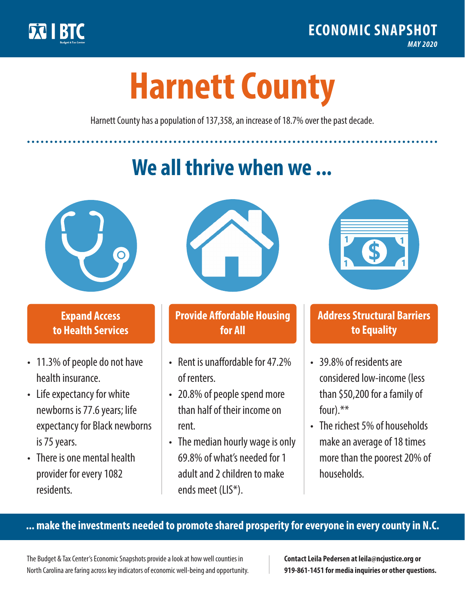

**1**

# **Harnett County**

Harnett County has a population of 137,358, an increase of 18.7% over the past decade.

# **We all thrive when we ...**



**\$ <sup>1</sup>**

**\$ <sup>1</sup>**

#### **Expand Access to Health Services**

- 11.3% of people do not have health insurance.
- Life expectancy for white newborns is 77.6years; life expectancy for Black newborns is 75 years.
- There is one mental health provider for every 1082 residents.



## **Provide Affordable Housing for All**

- Rent is unaffordable for 47 2% of renters.
- 20.8% of people spend more than half of their income on rent.
- The median hourly wage is only 69.8% of what's needed for 1 adult and 2 children to make ends meet (LIS\*).



## **Address Structural Barriers to Equality**

- 39.8% of residents are considered low-income (less than \$50,200 for a family of four).\*\*
- The richest 5% of households make an average of 18 times more than the poorest 20% of households.

#### **... make the investments needed to promote shared prosperity for everyone in every county in N.C.**

The Budget & Tax Center's Economic Snapshots provide a look at how well counties in North Carolina are faring across key indicators of economic well-being and opportunity.